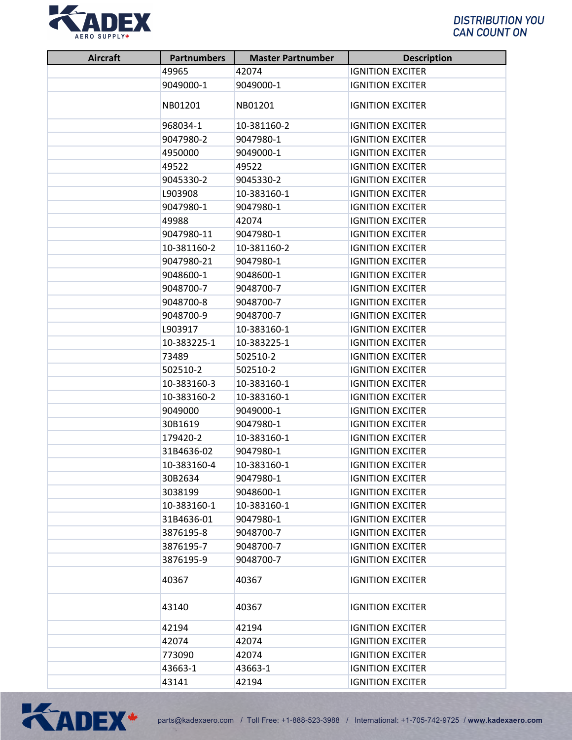

| <b>Aircraft</b> | <b>Partnumbers</b> | <b>Master Partnumber</b> | <b>Description</b>                                 |
|-----------------|--------------------|--------------------------|----------------------------------------------------|
|                 | 49965              | 42074                    | <b>IGNITION EXCITER</b>                            |
|                 | 9049000-1          | 9049000-1                | <b>IGNITION EXCITER</b>                            |
|                 | NB01201            | NB01201                  | <b>IGNITION EXCITER</b>                            |
|                 | 968034-1           | 10-381160-2              | <b>IGNITION EXCITER</b>                            |
|                 | 9047980-2          | 9047980-1                | <b>IGNITION EXCITER</b>                            |
|                 | 4950000            | 9049000-1                | <b>IGNITION EXCITER</b>                            |
|                 | 49522              | 49522                    | <b>IGNITION EXCITER</b>                            |
|                 | 9045330-2          | 9045330-2                | <b>IGNITION EXCITER</b>                            |
|                 | L903908            | 10-383160-1              | <b>IGNITION EXCITER</b>                            |
|                 | 9047980-1          | 9047980-1                | <b>IGNITION EXCITER</b>                            |
|                 | 49988              | 42074                    | <b>IGNITION EXCITER</b>                            |
|                 | 9047980-11         | 9047980-1                | <b>IGNITION EXCITER</b>                            |
|                 | 10-381160-2        | 10-381160-2              | <b>IGNITION EXCITER</b>                            |
|                 | 9047980-21         | 9047980-1                | <b>IGNITION EXCITER</b>                            |
|                 | 9048600-1          | 9048600-1                | <b>IGNITION EXCITER</b>                            |
|                 | 9048700-7          | 9048700-7                | <b>IGNITION EXCITER</b>                            |
|                 | 9048700-8          | 9048700-7                | <b>IGNITION EXCITER</b>                            |
|                 | 9048700-9          | 9048700-7                | <b>IGNITION EXCITER</b>                            |
|                 | L903917            | 10-383160-1              | <b>IGNITION EXCITER</b>                            |
|                 | 10-383225-1        | 10-383225-1              | <b>IGNITION EXCITER</b>                            |
|                 | 73489              | 502510-2                 | <b>IGNITION EXCITER</b>                            |
|                 | 502510-2           | 502510-2                 | <b>IGNITION EXCITER</b>                            |
|                 | 10-383160-3        | 10-383160-1              | <b>IGNITION EXCITER</b>                            |
|                 | 10-383160-2        | 10-383160-1              | <b>IGNITION EXCITER</b>                            |
|                 | 9049000            | 9049000-1                | <b>IGNITION EXCITER</b>                            |
|                 | 30B1619            | 9047980-1                | <b>IGNITION EXCITER</b>                            |
|                 | 179420-2           | 10-383160-1              | <b>IGNITION EXCITER</b>                            |
|                 | 31B4636-02         | 9047980-1                | <b>IGNITION EXCITER</b>                            |
|                 | 10-383160-4        | 10-383160-1              | <b>IGNITION EXCITER</b>                            |
|                 | 30B2634            | 9047980-1                | <b>IGNITION EXCITER</b>                            |
|                 | 3038199            | 9048600-1                | <b>IGNITION EXCITER</b>                            |
|                 | 10-383160-1        | 10-383160-1              | <b>IGNITION EXCITER</b>                            |
|                 | 31B4636-01         | 9047980-1                | <b>IGNITION EXCITER</b>                            |
|                 | 3876195-8          | 9048700-7                | <b>IGNITION EXCITER</b>                            |
|                 | 3876195-7          | 9048700-7                | <b>IGNITION EXCITER</b>                            |
|                 | 3876195-9<br>40367 | 9048700-7<br>40367       | <b>IGNITION EXCITER</b><br><b>IGNITION EXCITER</b> |
|                 | 43140              | 40367                    | <b>IGNITION EXCITER</b>                            |
|                 | 42194              | 42194                    | <b>IGNITION EXCITER</b>                            |
|                 | 42074              | 42074                    | <b>IGNITION EXCITER</b>                            |
|                 | 773090             | 42074                    | <b>IGNITION EXCITER</b>                            |
|                 | 43663-1            | 43663-1                  | <b>IGNITION EXCITER</b>                            |
|                 | 43141              | 42194                    | <b>IGNITION EXCITER</b>                            |

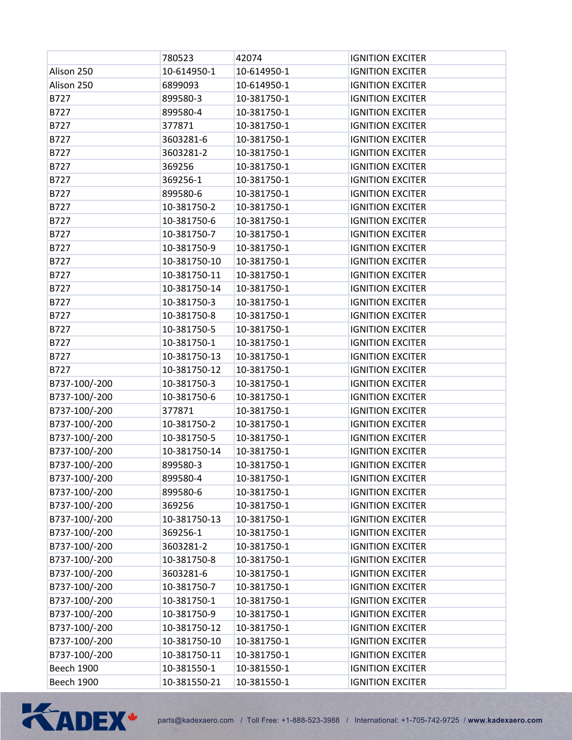|                   | 780523       | 42074       | <b>IGNITION EXCITER</b> |
|-------------------|--------------|-------------|-------------------------|
| Alison 250        | 10-614950-1  | 10-614950-1 | <b>IGNITION EXCITER</b> |
| Alison 250        | 6899093      | 10-614950-1 | <b>IGNITION EXCITER</b> |
| B727              | 899580-3     | 10-381750-1 | <b>IGNITION EXCITER</b> |
| B727              | 899580-4     | 10-381750-1 | <b>IGNITION EXCITER</b> |
| B727              | 377871       | 10-381750-1 | <b>IGNITION EXCITER</b> |
| B727              | 3603281-6    | 10-381750-1 | <b>IGNITION EXCITER</b> |
| B727              | 3603281-2    | 10-381750-1 | <b>IGNITION EXCITER</b> |
| B727              | 369256       | 10-381750-1 | <b>IGNITION EXCITER</b> |
| B727              | 369256-1     | 10-381750-1 | <b>IGNITION EXCITER</b> |
| B727              | 899580-6     | 10-381750-1 | <b>IGNITION EXCITER</b> |
| B727              | 10-381750-2  | 10-381750-1 | <b>IGNITION EXCITER</b> |
| B727              | 10-381750-6  | 10-381750-1 | <b>IGNITION EXCITER</b> |
| B727              | 10-381750-7  | 10-381750-1 | <b>IGNITION EXCITER</b> |
| B727              | 10-381750-9  | 10-381750-1 | <b>IGNITION EXCITER</b> |
| B727              | 10-381750-10 | 10-381750-1 | <b>IGNITION EXCITER</b> |
| B727              | 10-381750-11 | 10-381750-1 | <b>IGNITION EXCITER</b> |
| B727              | 10-381750-14 | 10-381750-1 | <b>IGNITION EXCITER</b> |
| B727              | 10-381750-3  | 10-381750-1 | <b>IGNITION EXCITER</b> |
| B727              | 10-381750-8  | 10-381750-1 | <b>IGNITION EXCITER</b> |
| B727              | 10-381750-5  | 10-381750-1 | <b>IGNITION EXCITER</b> |
| B727              | 10-381750-1  | 10-381750-1 | <b>IGNITION EXCITER</b> |
| B727              | 10-381750-13 | 10-381750-1 | <b>IGNITION EXCITER</b> |
| B727              | 10-381750-12 | 10-381750-1 | <b>IGNITION EXCITER</b> |
| B737-100/-200     | 10-381750-3  | 10-381750-1 | <b>IGNITION EXCITER</b> |
| B737-100/-200     | 10-381750-6  | 10-381750-1 | <b>IGNITION EXCITER</b> |
| B737-100/-200     | 377871       | 10-381750-1 | <b>IGNITION EXCITER</b> |
| B737-100/-200     | 10-381750-2  | 10-381750-1 | <b>IGNITION EXCITER</b> |
| B737-100/-200     | 10-381750-5  | 10-381750-1 | <b>IGNITION EXCITER</b> |
| B737-100/-200     | 10-381750-14 | 10-381750-1 | <b>IGNITION EXCITER</b> |
| B737-100/-200     | 899580-3     | 10-381750-1 | <b>IGNITION EXCITER</b> |
| B737-100/-200     | 899580-4     | 10-381750-1 | <b>IGNITION EXCITER</b> |
| B737-100/-200     | 899580-6     | 10-381750-1 | <b>IGNITION EXCITER</b> |
| B737-100/-200     | 369256       | 10-381750-1 | <b>IGNITION EXCITER</b> |
| B737-100/-200     | 10-381750-13 | 10-381750-1 | <b>IGNITION EXCITER</b> |
| B737-100/-200     | 369256-1     | 10-381750-1 | <b>IGNITION EXCITER</b> |
| B737-100/-200     | 3603281-2    | 10-381750-1 | <b>IGNITION EXCITER</b> |
| B737-100/-200     | 10-381750-8  | 10-381750-1 | <b>IGNITION EXCITER</b> |
| B737-100/-200     | 3603281-6    | 10-381750-1 | <b>IGNITION EXCITER</b> |
| B737-100/-200     | 10-381750-7  | 10-381750-1 | <b>IGNITION EXCITER</b> |
| B737-100/-200     | 10-381750-1  | 10-381750-1 | <b>IGNITION EXCITER</b> |
| B737-100/-200     | 10-381750-9  | 10-381750-1 | <b>IGNITION EXCITER</b> |
| B737-100/-200     | 10-381750-12 | 10-381750-1 | <b>IGNITION EXCITER</b> |
| B737-100/-200     | 10-381750-10 | 10-381750-1 | <b>IGNITION EXCITER</b> |
| B737-100/-200     | 10-381750-11 | 10-381750-1 | <b>IGNITION EXCITER</b> |
| <b>Beech 1900</b> | 10-381550-1  | 10-381550-1 | <b>IGNITION EXCITER</b> |
| <b>Beech 1900</b> | 10-381550-21 | 10-381550-1 | <b>IGNITION EXCITER</b> |

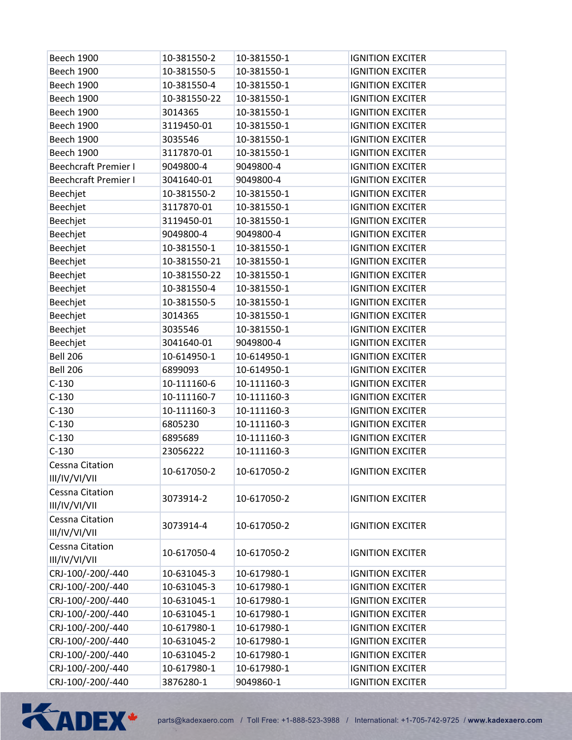| Beech 1900                       | 10-381550-2  | 10-381550-1 | <b>IGNITION EXCITER</b> |
|----------------------------------|--------------|-------------|-------------------------|
| Beech 1900                       | 10-381550-5  | 10-381550-1 | <b>IGNITION EXCITER</b> |
| <b>Beech 1900</b>                | 10-381550-4  | 10-381550-1 | <b>IGNITION EXCITER</b> |
| Beech 1900                       | 10-381550-22 | 10-381550-1 | <b>IGNITION EXCITER</b> |
| <b>Beech 1900</b>                | 3014365      | 10-381550-1 | <b>IGNITION EXCITER</b> |
| <b>Beech 1900</b>                | 3119450-01   | 10-381550-1 | <b>IGNITION EXCITER</b> |
| Beech 1900                       | 3035546      | 10-381550-1 | <b>IGNITION EXCITER</b> |
| <b>Beech 1900</b>                | 3117870-01   | 10-381550-1 | <b>IGNITION EXCITER</b> |
| <b>Beechcraft Premier I</b>      | 9049800-4    | 9049800-4   | <b>IGNITION EXCITER</b> |
| <b>Beechcraft Premier I</b>      | 3041640-01   | 9049800-4   | <b>IGNITION EXCITER</b> |
| Beechjet                         | 10-381550-2  | 10-381550-1 | <b>IGNITION EXCITER</b> |
| Beechjet                         | 3117870-01   | 10-381550-1 | <b>IGNITION EXCITER</b> |
| Beechjet                         | 3119450-01   | 10-381550-1 | <b>IGNITION EXCITER</b> |
| Beechjet                         | 9049800-4    | 9049800-4   | <b>IGNITION EXCITER</b> |
| Beechjet                         | 10-381550-1  | 10-381550-1 | <b>IGNITION EXCITER</b> |
| Beechjet                         | 10-381550-21 | 10-381550-1 | <b>IGNITION EXCITER</b> |
| Beechjet                         | 10-381550-22 | 10-381550-1 | <b>IGNITION EXCITER</b> |
| Beechjet                         | 10-381550-4  | 10-381550-1 | <b>IGNITION EXCITER</b> |
| Beechjet                         | 10-381550-5  | 10-381550-1 | <b>IGNITION EXCITER</b> |
| Beechjet                         | 3014365      | 10-381550-1 | <b>IGNITION EXCITER</b> |
| Beechjet                         | 3035546      | 10-381550-1 | <b>IGNITION EXCITER</b> |
| Beechjet                         | 3041640-01   | 9049800-4   | <b>IGNITION EXCITER</b> |
| <b>Bell 206</b>                  | 10-614950-1  | 10-614950-1 | <b>IGNITION EXCITER</b> |
| <b>Bell 206</b>                  | 6899093      | 10-614950-1 | <b>IGNITION EXCITER</b> |
| $C-130$                          | 10-111160-6  | 10-111160-3 | <b>IGNITION EXCITER</b> |
| $C-130$                          | 10-111160-7  | 10-111160-3 | <b>IGNITION EXCITER</b> |
| $C-130$                          | 10-111160-3  | 10-111160-3 | <b>IGNITION EXCITER</b> |
| $C-130$                          | 6805230      | 10-111160-3 | <b>IGNITION EXCITER</b> |
| $C-130$                          | 6895689      | 10-111160-3 | <b>IGNITION EXCITER</b> |
| $C-130$                          | 23056222     | 10-111160-3 | <b>IGNITION EXCITER</b> |
| Cessna Citation                  |              |             |                         |
| III/IV/VI/VII                    | 10-617050-2  | 10-617050-2 | <b>IGNITION EXCITER</b> |
| Cessna Citation                  | 3073914-2    | 10-617050-2 | <b>IGNITION EXCITER</b> |
| III/IV/VI/VII                    |              |             |                         |
| Cessna Citation<br>III/IV/VI/VII | 3073914-4    | 10-617050-2 | <b>IGNITION EXCITER</b> |
| Cessna Citation                  |              |             |                         |
| III/IV/VI/VII                    | 10-617050-4  | 10-617050-2 | <b>IGNITION EXCITER</b> |
| CRJ-100/-200/-440                | 10-631045-3  | 10-617980-1 | <b>IGNITION EXCITER</b> |
| CRJ-100/-200/-440                | 10-631045-3  | 10-617980-1 | <b>IGNITION EXCITER</b> |
| CRJ-100/-200/-440                | 10-631045-1  | 10-617980-1 | <b>IGNITION EXCITER</b> |
| CRJ-100/-200/-440                | 10-631045-1  | 10-617980-1 | <b>IGNITION EXCITER</b> |
| CRJ-100/-200/-440                | 10-617980-1  | 10-617980-1 | <b>IGNITION EXCITER</b> |
| CRJ-100/-200/-440                | 10-631045-2  | 10-617980-1 | <b>IGNITION EXCITER</b> |
| CRJ-100/-200/-440                | 10-631045-2  | 10-617980-1 | <b>IGNITION EXCITER</b> |
| CRJ-100/-200/-440                | 10-617980-1  | 10-617980-1 | <b>IGNITION EXCITER</b> |
| CRJ-100/-200/-440                | 3876280-1    | 9049860-1   | <b>IGNITION EXCITER</b> |
|                                  |              |             |                         |

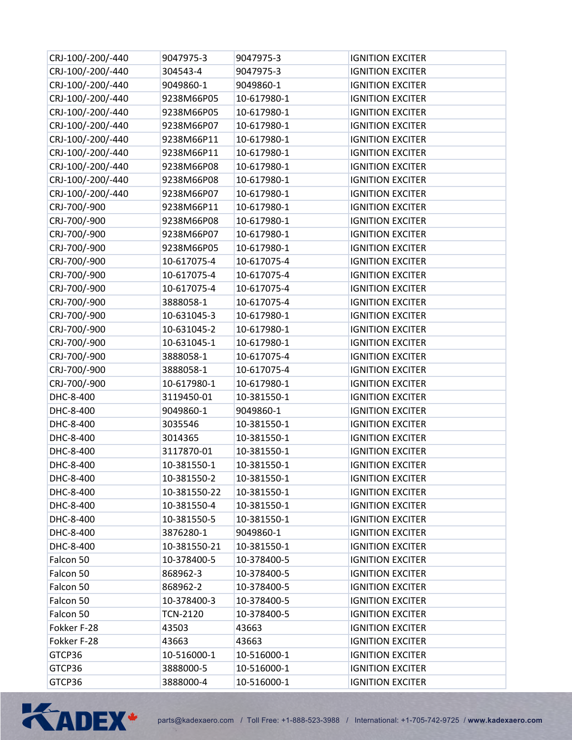| CRJ-100/-200/-440 | 9047975-3       | 9047975-3   | <b>IGNITION EXCITER</b> |
|-------------------|-----------------|-------------|-------------------------|
| CRJ-100/-200/-440 | 304543-4        | 9047975-3   | <b>IGNITION EXCITER</b> |
| CRJ-100/-200/-440 | 9049860-1       | 9049860-1   | <b>IGNITION EXCITER</b> |
| CRJ-100/-200/-440 | 9238M66P05      | 10-617980-1 | <b>IGNITION EXCITER</b> |
| CRJ-100/-200/-440 | 9238M66P05      | 10-617980-1 | <b>IGNITION EXCITER</b> |
| CRJ-100/-200/-440 | 9238M66P07      | 10-617980-1 | <b>IGNITION EXCITER</b> |
| CRJ-100/-200/-440 | 9238M66P11      | 10-617980-1 | <b>IGNITION EXCITER</b> |
| CRJ-100/-200/-440 | 9238M66P11      | 10-617980-1 | <b>IGNITION EXCITER</b> |
| CRJ-100/-200/-440 | 9238M66P08      | 10-617980-1 | <b>IGNITION EXCITER</b> |
| CRJ-100/-200/-440 | 9238M66P08      | 10-617980-1 | <b>IGNITION EXCITER</b> |
| CRJ-100/-200/-440 | 9238M66P07      | 10-617980-1 | <b>IGNITION EXCITER</b> |
| CRJ-700/-900      | 9238M66P11      | 10-617980-1 | <b>IGNITION EXCITER</b> |
| CRJ-700/-900      | 9238M66P08      | 10-617980-1 | <b>IGNITION EXCITER</b> |
| CRJ-700/-900      | 9238M66P07      | 10-617980-1 | <b>IGNITION EXCITER</b> |
| CRJ-700/-900      | 9238M66P05      | 10-617980-1 | <b>IGNITION EXCITER</b> |
| CRJ-700/-900      | 10-617075-4     | 10-617075-4 | <b>IGNITION EXCITER</b> |
| CRJ-700/-900      | 10-617075-4     | 10-617075-4 | <b>IGNITION EXCITER</b> |
| CRJ-700/-900      | 10-617075-4     | 10-617075-4 | <b>IGNITION EXCITER</b> |
| CRJ-700/-900      | 3888058-1       | 10-617075-4 | <b>IGNITION EXCITER</b> |
| CRJ-700/-900      | 10-631045-3     | 10-617980-1 | <b>IGNITION EXCITER</b> |
| CRJ-700/-900      | 10-631045-2     | 10-617980-1 | <b>IGNITION EXCITER</b> |
| CRJ-700/-900      | 10-631045-1     | 10-617980-1 | <b>IGNITION EXCITER</b> |
| CRJ-700/-900      | 3888058-1       | 10-617075-4 | <b>IGNITION EXCITER</b> |
| CRJ-700/-900      | 3888058-1       | 10-617075-4 | <b>IGNITION EXCITER</b> |
| CRJ-700/-900      | 10-617980-1     | 10-617980-1 | <b>IGNITION EXCITER</b> |
| DHC-8-400         | 3119450-01      | 10-381550-1 | <b>IGNITION EXCITER</b> |
| DHC-8-400         | 9049860-1       | 9049860-1   | <b>IGNITION EXCITER</b> |
| DHC-8-400         | 3035546         | 10-381550-1 | <b>IGNITION EXCITER</b> |
| DHC-8-400         | 3014365         | 10-381550-1 | <b>IGNITION EXCITER</b> |
| DHC-8-400         | 3117870-01      | 10-381550-1 | <b>IGNITION EXCITER</b> |
| DHC-8-400         | 10-381550-1     | 10-381550-1 | <b>IGNITION EXCITER</b> |
| DHC-8-400         | 10-381550-2     | 10-381550-1 | <b>IGNITION EXCITER</b> |
| DHC-8-400         | 10-381550-22    | 10-381550-1 | <b>IGNITION EXCITER</b> |
| DHC-8-400         | 10-381550-4     | 10-381550-1 | <b>IGNITION EXCITER</b> |
| DHC-8-400         | 10-381550-5     | 10-381550-1 | <b>IGNITION EXCITER</b> |
| DHC-8-400         | 3876280-1       | 9049860-1   | <b>IGNITION EXCITER</b> |
| DHC-8-400         | 10-381550-21    | 10-381550-1 | <b>IGNITION EXCITER</b> |
| Falcon 50         | 10-378400-5     | 10-378400-5 | <b>IGNITION EXCITER</b> |
| Falcon 50         | 868962-3        | 10-378400-5 | <b>IGNITION EXCITER</b> |
| Falcon 50         | 868962-2        | 10-378400-5 | <b>IGNITION EXCITER</b> |
| Falcon 50         | 10-378400-3     | 10-378400-5 | <b>IGNITION EXCITER</b> |
| Falcon 50         | <b>TCN-2120</b> | 10-378400-5 | <b>IGNITION EXCITER</b> |
| Fokker F-28       | 43503           | 43663       | <b>IGNITION EXCITER</b> |
| Fokker F-28       | 43663           | 43663       | <b>IGNITION EXCITER</b> |
| GTCP36            | 10-516000-1     | 10-516000-1 | <b>IGNITION EXCITER</b> |
| GTCP36            | 3888000-5       | 10-516000-1 | <b>IGNITION EXCITER</b> |
| GTCP36            | 3888000-4       | 10-516000-1 | <b>IGNITION EXCITER</b> |

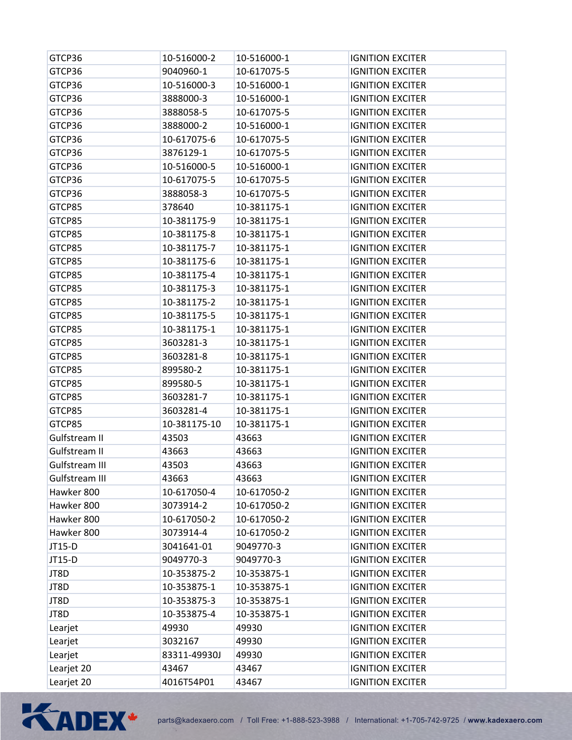| GTCP36         | 10-516000-2  | 10-516000-1 | <b>IGNITION EXCITER</b> |
|----------------|--------------|-------------|-------------------------|
| GTCP36         | 9040960-1    | 10-617075-5 | <b>IGNITION EXCITER</b> |
| GTCP36         | 10-516000-3  | 10-516000-1 | <b>IGNITION EXCITER</b> |
| GTCP36         | 3888000-3    | 10-516000-1 | <b>IGNITION EXCITER</b> |
| GTCP36         | 3888058-5    | 10-617075-5 | <b>IGNITION EXCITER</b> |
| GTCP36         | 3888000-2    | 10-516000-1 | <b>IGNITION EXCITER</b> |
| GTCP36         | 10-617075-6  | 10-617075-5 | <b>IGNITION EXCITER</b> |
| GTCP36         | 3876129-1    | 10-617075-5 | <b>IGNITION EXCITER</b> |
| GTCP36         | 10-516000-5  | 10-516000-1 | <b>IGNITION EXCITER</b> |
| GTCP36         | 10-617075-5  | 10-617075-5 | <b>IGNITION EXCITER</b> |
| GTCP36         | 3888058-3    | 10-617075-5 | <b>IGNITION EXCITER</b> |
| GTCP85         | 378640       | 10-381175-1 | <b>IGNITION EXCITER</b> |
| GTCP85         | 10-381175-9  | 10-381175-1 | <b>IGNITION EXCITER</b> |
| GTCP85         | 10-381175-8  | 10-381175-1 | <b>IGNITION EXCITER</b> |
| GTCP85         | 10-381175-7  | 10-381175-1 | <b>IGNITION EXCITER</b> |
| GTCP85         | 10-381175-6  | 10-381175-1 | <b>IGNITION EXCITER</b> |
| GTCP85         | 10-381175-4  | 10-381175-1 | <b>IGNITION EXCITER</b> |
| GTCP85         | 10-381175-3  | 10-381175-1 | <b>IGNITION EXCITER</b> |
| GTCP85         | 10-381175-2  | 10-381175-1 | <b>IGNITION EXCITER</b> |
| GTCP85         | 10-381175-5  | 10-381175-1 | <b>IGNITION EXCITER</b> |
| GTCP85         | 10-381175-1  | 10-381175-1 | <b>IGNITION EXCITER</b> |
| GTCP85         | 3603281-3    | 10-381175-1 | <b>IGNITION EXCITER</b> |
| GTCP85         | 3603281-8    | 10-381175-1 | <b>IGNITION EXCITER</b> |
| GTCP85         | 899580-2     | 10-381175-1 | <b>IGNITION EXCITER</b> |
| GTCP85         | 899580-5     | 10-381175-1 | <b>IGNITION EXCITER</b> |
| GTCP85         | 3603281-7    | 10-381175-1 | <b>IGNITION EXCITER</b> |
| GTCP85         | 3603281-4    | 10-381175-1 | <b>IGNITION EXCITER</b> |
| GTCP85         | 10-381175-10 | 10-381175-1 | <b>IGNITION EXCITER</b> |
| Gulfstream II  | 43503        | 43663       | <b>IGNITION EXCITER</b> |
| Gulfstream II  | 43663        | 43663       | <b>IGNITION EXCITER</b> |
| Gulfstream III | 43503        | 43663       | <b>IGNITION EXCITER</b> |
| Gulfstream III | 43663        | 43663       | <b>IGNITION EXCITER</b> |
| Hawker 800     | 10-617050-4  | 10-617050-2 | <b>IGNITION EXCITER</b> |
| Hawker 800     | 3073914-2    | 10-617050-2 | <b>IGNITION EXCITER</b> |
| Hawker 800     | 10-617050-2  | 10-617050-2 | <b>IGNITION EXCITER</b> |
| Hawker 800     | 3073914-4    | 10-617050-2 | <b>IGNITION EXCITER</b> |
| JT15-D         | 3041641-01   | 9049770-3   | <b>IGNITION EXCITER</b> |
| JT15-D         | 9049770-3    | 9049770-3   | <b>IGNITION EXCITER</b> |
| JT8D           | 10-353875-2  | 10-353875-1 | <b>IGNITION EXCITER</b> |
| JT8D           | 10-353875-1  | 10-353875-1 | <b>IGNITION EXCITER</b> |
| JT8D           | 10-353875-3  | 10-353875-1 | <b>IGNITION EXCITER</b> |
| JT8D           | 10-353875-4  | 10-353875-1 | <b>IGNITION EXCITER</b> |
| Learjet        | 49930        | 49930       | <b>IGNITION EXCITER</b> |
| Learjet        | 3032167      | 49930       | <b>IGNITION EXCITER</b> |
| Learjet        | 83311-49930J | 49930       | <b>IGNITION EXCITER</b> |
| Learjet 20     | 43467        | 43467       | <b>IGNITION EXCITER</b> |
| Learjet 20     | 4016T54P01   | 43467       | <b>IGNITION EXCITER</b> |